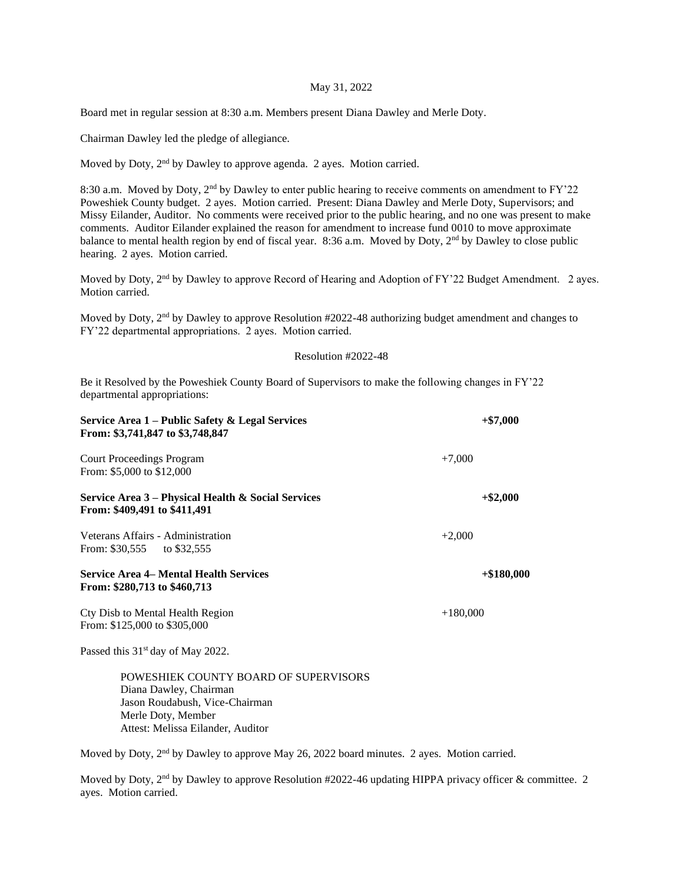## May 31, 2022

Board met in regular session at 8:30 a.m. Members present Diana Dawley and Merle Doty.

Chairman Dawley led the pledge of allegiance.

Moved by Doty, 2<sup>nd</sup> by Dawley to approve agenda. 2 ayes. Motion carried.

8:30 a.m. Moved by Doty, 2<sup>nd</sup> by Dawley to enter public hearing to receive comments on amendment to FY'22 Poweshiek County budget. 2 ayes. Motion carried. Present: Diana Dawley and Merle Doty, Supervisors; and Missy Eilander, Auditor. No comments were received prior to the public hearing, and no one was present to make comments. Auditor Eilander explained the reason for amendment to increase fund 0010 to move approximate balance to mental health region by end of fiscal year. 8:36 a.m. Moved by Doty, 2nd by Dawley to close public hearing. 2 ayes. Motion carried.

Moved by Doty, 2<sup>nd</sup> by Dawley to approve Record of Hearing and Adoption of FY'22 Budget Amendment. 2 ayes. Motion carried.

Moved by Doty, 2nd by Dawley to approve Resolution #2022-48 authorizing budget amendment and changes to FY'22 departmental appropriations. 2 ayes. Motion carried.

## Resolution #2022-48

Be it Resolved by the Poweshiek County Board of Supervisors to make the following changes in FY'22 departmental appropriations:

| Service Area 1 – Public Safety & Legal Services<br>From: \$3,741,847 to \$3,748,847 | $+ $7,000$   |
|-------------------------------------------------------------------------------------|--------------|
| <b>Court Proceedings Program</b><br>From: \$5,000 to \$12,000                       | $+7,000$     |
| Service Area 3 – Physical Health & Social Services<br>From: \$409,491 to \$411,491  | $+$ \$2,000  |
| Veterans Affairs - Administration<br>From: $$30,555$ to $$32,555$                   | $+2,000$     |
| <b>Service Area 4– Mental Health Services</b><br>From: \$280,713 to \$460,713       | $+\$180,000$ |
| Cty Disb to Mental Health Region<br>From: \$125,000 to \$305,000                    | $+180,000$   |
| Passed this $31st$ day of May 2022.                                                 |              |
|                                                                                     |              |

POWESHIEK COUNTY BOARD OF SUPERVISORS Diana Dawley, Chairman Jason Roudabush, Vice-Chairman Merle Doty, Member Attest: Melissa Eilander, Auditor

Moved by Doty, 2<sup>nd</sup> by Dawley to approve May 26, 2022 board minutes. 2 ayes. Motion carried.

Moved by Doty, 2<sup>nd</sup> by Dawley to approve Resolution #2022-46 updating HIPPA privacy officer & committee. 2 ayes. Motion carried.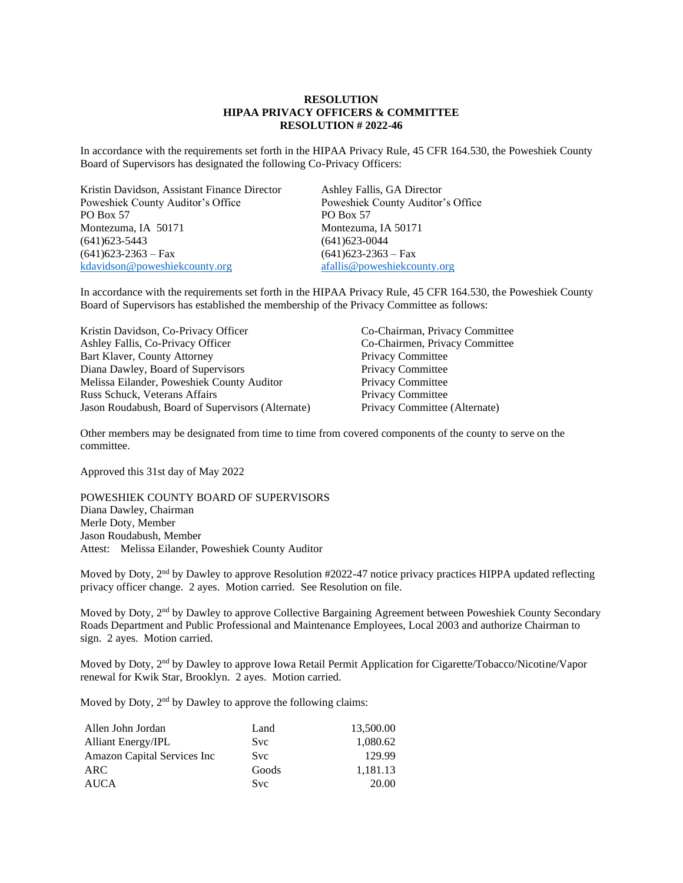## **RESOLUTION HIPAA PRIVACY OFFICERS & COMMITTEE RESOLUTION # 2022-46**

In accordance with the requirements set forth in the HIPAA Privacy Rule, 45 CFR 164.530, the Poweshiek County Board of Supervisors has designated the following Co-Privacy Officers:

Kristin Davidson, Assistant Finance Director Ashley Fallis, GA Director Poweshiek County Auditor's Office Poweshiek County Auditor's Office PO Box 57 PO Box 57 Montezuma, IA 50171 Montezuma, IA 50171 (641)623-5443 (641)623-0044 (641)623-2363 – Fax (641)623-2363 – Fax [kdavidson@poweshiekcounty.org](mailto:kdavidson@poweshiekcounty.org) [afallis@poweshiekcounty.org](mailto:afallis@poweshiekcounty.org)

In accordance with the requirements set forth in the HIPAA Privacy Rule, 45 CFR 164.530, the Poweshiek County Board of Supervisors has established the membership of the Privacy Committee as follows:

Kristin Davidson, Co-Privacy Officer Co-Chairman, Privacy Committee Ashley Fallis, Co-Privacy Officer Co-Chairmen, Privacy Committee Ashley Fallis, Co-Privacy Officer Bart Klaver, County Attorney<br>
Diana Dawley, Board of Supervisors<br>
Privacy Committee Diana Dawley, Board of Supervisors<br>
Melissa Eilander, Poweshiek County Auditor<br>
Privacy Committee Melissa Eilander, Poweshiek County Auditor Russ Schuck, Veterans Affairs Privacy Committee Jason Roudabush, Board of Supervisors (Alternate) Privacy Committee (Alternate)

Other members may be designated from time to time from covered components of the county to serve on the committee.

Approved this 31st day of May 2022

POWESHIEK COUNTY BOARD OF SUPERVISORS Diana Dawley, Chairman Merle Doty, Member Jason Roudabush, Member Attest: Melissa Eilander, Poweshiek County Auditor

Moved by Doty, 2<sup>nd</sup> by Dawley to approve Resolution #2022-47 notice privacy practices HIPPA updated reflecting privacy officer change. 2 ayes. Motion carried. See Resolution on file.

Moved by Doty, 2<sup>nd</sup> by Dawley to approve Collective Bargaining Agreement between Poweshiek County Secondary Roads Department and Public Professional and Maintenance Employees, Local 2003 and authorize Chairman to sign. 2 ayes. Motion carried.

Moved by Doty, 2nd by Dawley to approve Iowa Retail Permit Application for Cigarette/Tobacco/Nicotine/Vapor renewal for Kwik Star, Brooklyn. 2 ayes. Motion carried.

Moved by Doty, 2<sup>nd</sup> by Dawley to approve the following claims:

| Allen John Jordan                   | Land       | 13,500.00 |
|-------------------------------------|------------|-----------|
| <b>Alliant Energy/IPL</b>           | <b>Svc</b> | 1,080.62  |
| <b>Amazon Capital Services Inc.</b> | <b>Svc</b> | 129.99    |
| <b>ARC</b>                          | Goods      | 1,181.13  |
| <b>AUCA</b>                         | <b>Svc</b> | 20.00     |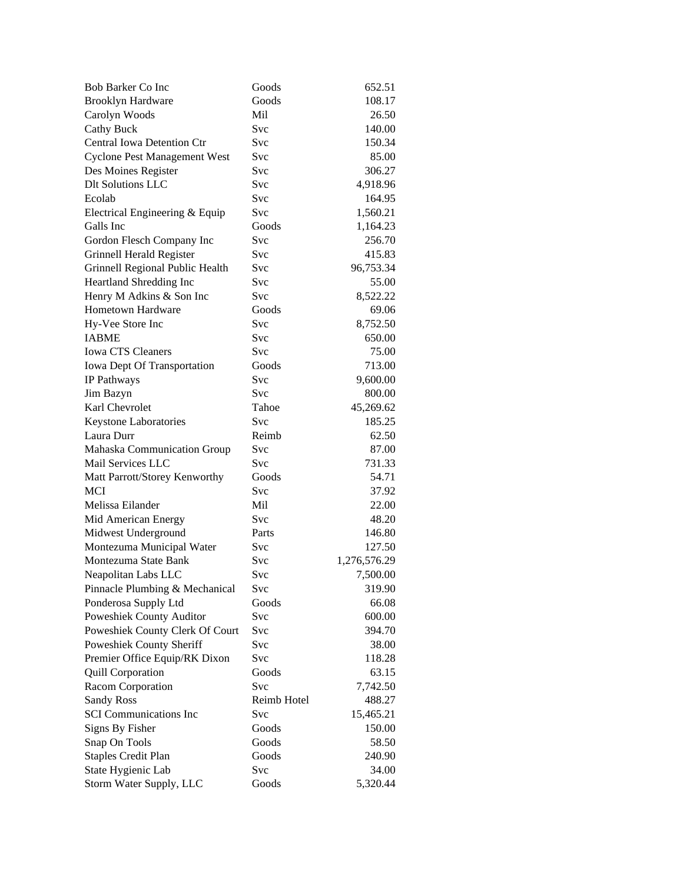| <b>Bob Barker Co Inc</b>            | Goods       | 652.51       |
|-------------------------------------|-------------|--------------|
| <b>Brooklyn Hardware</b>            | Goods       | 108.17       |
| Carolyn Woods                       | Mil         | 26.50        |
| <b>Cathy Buck</b>                   | Svc         | 140.00       |
| Central Iowa Detention Ctr          | Svc         | 150.34       |
| <b>Cyclone Pest Management West</b> | Svc         | 85.00        |
| Des Moines Register                 | Svc         | 306.27       |
| <b>Dlt Solutions LLC</b>            | Svc         | 4,918.96     |
| Ecolab                              | Svc         | 164.95       |
| Electrical Engineering & Equip      | Svc         | 1,560.21     |
| Galls Inc                           | Goods       | 1,164.23     |
| Gordon Flesch Company Inc           | Svc         | 256.70       |
| Grinnell Herald Register            | Svc         | 415.83       |
| Grinnell Regional Public Health     | Svc         | 96,753.34    |
| Heartland Shredding Inc             | Svc         | 55.00        |
| Henry M Adkins & Son Inc            | Svc         | 8,522.22     |
| <b>Hometown Hardware</b>            | Goods       | 69.06        |
| Hy-Vee Store Inc                    | Svc         | 8,752.50     |
| <b>IABME</b>                        | Svc         | 650.00       |
| <b>Iowa CTS Cleaners</b>            | Svc         | 75.00        |
| Iowa Dept Of Transportation         | Goods       | 713.00       |
| IP Pathways                         | Svc         | 9,600.00     |
| Jim Bazyn                           | Svc         | 800.00       |
| Karl Chevrolet                      | Tahoe       | 45,269.62    |
| Keystone Laboratories               | Svc         | 185.25       |
| Laura Durr                          | Reimb       | 62.50        |
| Mahaska Communication Group         | Svc         | 87.00        |
| Mail Services LLC                   | Svc         | 731.33       |
| Matt Parrott/Storey Kenworthy       | Goods       | 54.71        |
| MCI                                 | Svc         | 37.92        |
| Melissa Eilander                    | Mil         | 22.00        |
| Mid American Energy                 | Svc         | 48.20        |
| Midwest Underground                 | Parts       | 146.80       |
| Montezuma Municipal Water           | Svc         | 127.50       |
| Montezuma State Bank                | Svc         | 1,276,576.29 |
| Neapolitan Labs LLC                 | Svc         | 7,500.00     |
| Pinnacle Plumbing & Mechanical      | Svc         | 319.90       |
| Ponderosa Supply Ltd                | Goods       | 66.08        |
| Poweshiek County Auditor            | <b>Svc</b>  | 600.00       |
| Poweshiek County Clerk Of Court     | Svc         | 394.70       |
| Poweshiek County Sheriff            | Svc         | 38.00        |
| Premier Office Equip/RK Dixon       | Svc         | 118.28       |
| <b>Quill Corporation</b>            | Goods       | 63.15        |
| Racom Corporation                   | Svc         | 7,742.50     |
| <b>Sandy Ross</b>                   | Reimb Hotel | 488.27       |
| <b>SCI</b> Communications Inc       | Svc         | 15,465.21    |
| Signs By Fisher                     | Goods       | 150.00       |
| Snap On Tools                       | Goods       | 58.50        |
| <b>Staples Credit Plan</b>          | Goods       | 240.90       |
| State Hygienic Lab                  | Svc         | 34.00        |
| Storm Water Supply, LLC             | Goods       | 5,320.44     |